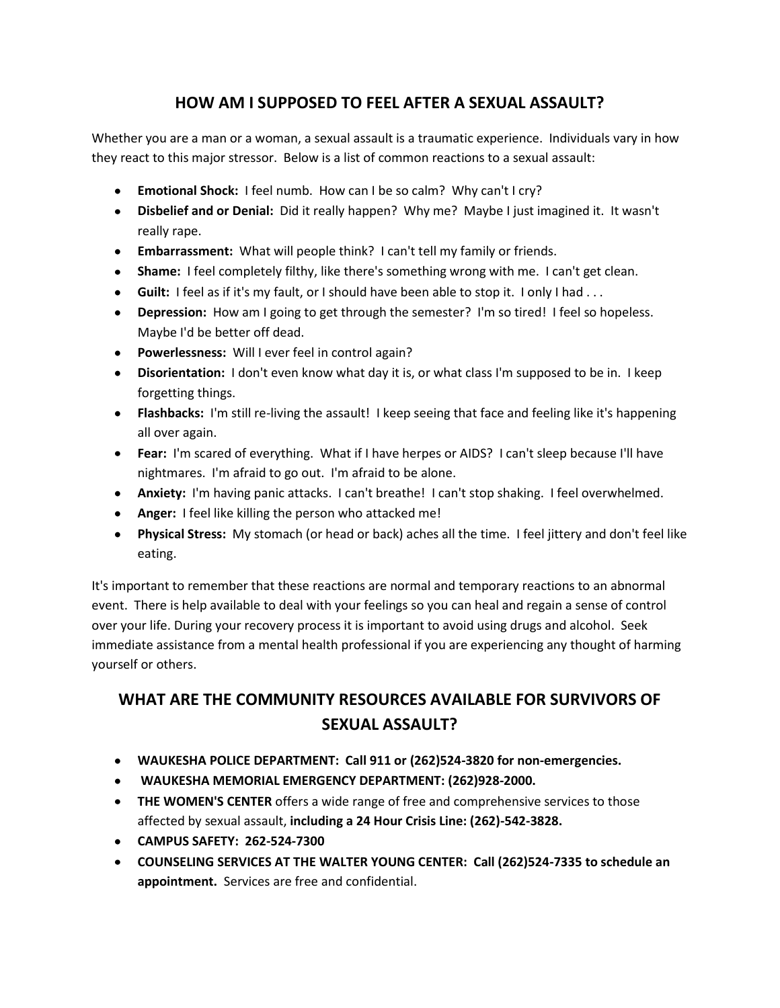## **HOW AM I SUPPOSED TO FEEL AFTER A SEXUAL ASSAULT?**

Whether you are a man or a woman, a sexual assault is a traumatic experience. Individuals vary in how they react to this major stressor. Below is a list of common reactions to a sexual assault:

- **Emotional Shock:** I feel numb. How can I be so calm? Why can't I cry?
- **Disbelief and or Denial:** Did it really happen? Why me? Maybe I just imagined it. It wasn't really rape.
- **Embarrassment:** What will people think? I can't tell my family or friends.
- **Shame:** I feel completely filthy, like there's something wrong with me. I can't get clean.
- **Guilt:** I feel as if it's my fault, or I should have been able to stop it. I only I had . . .
- **Depression:** How am I going to get through the semester? I'm so tired! I feel so hopeless. Maybe I'd be better off dead.
- **Powerlessness:** Will I ever feel in control again?
- **Disorientation:** I don't even know what day it is, or what class I'm supposed to be in. I keep forgetting things.
- **Flashbacks:** I'm still re-living the assault! I keep seeing that face and feeling like it's happening all over again.
- **Fear:** I'm scared of everything. What if I have herpes or AIDS? I can't sleep because I'll have nightmares. I'm afraid to go out. I'm afraid to be alone.
- **Anxiety:** I'm having panic attacks. I can't breathe! I can't stop shaking. I feel overwhelmed.
- **Anger:** I feel like killing the person who attacked me!
- **Physical Stress:** My stomach (or head or back) aches all the time. I feel jittery and don't feel like eating.

It's important to remember that these reactions are normal and temporary reactions to an abnormal event. There is help available to deal with your feelings so you can heal and regain a sense of control over your life. During your recovery process it is important to avoid using drugs and alcohol. Seek immediate assistance from a mental health professional if you are experiencing any thought of harming yourself or others.

## **WHAT ARE THE COMMUNITY RESOURCES AVAILABLE FOR SURVIVORS OF SEXUAL ASSAULT?**

- **WAUKESHA POLICE DEPARTMENT: Call 911 or (262)524-3820 for non-emergencies.**
- **WAUKESHA MEMORIAL EMERGENCY DEPARTMENT: (262)928-2000.**
- **THE WOMEN'S CENTER** offers a wide range of free and comprehensive services to those affected by sexual assault, **including a 24 Hour Crisis Line: (262)-542-3828.**
- **CAMPUS SAFETY: 262-524-7300**
- **COUNSELING SERVICES AT THE WALTER YOUNG CENTER: Call (262)524-7335 to schedule an appointment.** Services are free and confidential.